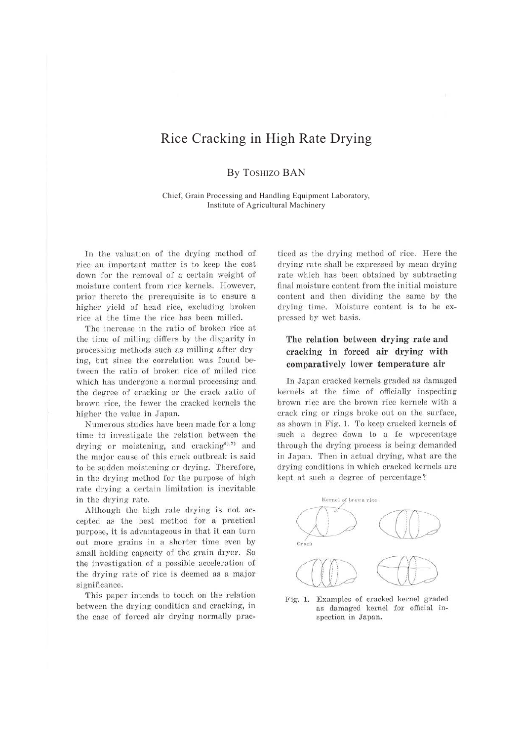# Rice Cracking in High Rate Drying

By TOSHIZO BAN

Chief, Grain Processing and Handling Equipment Laboratory, Institute of Agricultural Machinery

In the valuation of the drying method of rice an important matter is to keep the cost down for the removal of a certain weight of moisture content from rice kernels. However, prior thereto the prerequisite is to ensure a higher yield of head rice, excluding broken rice at the time the rice has been milled.

The increase in the ratio of broken rice at the time of milling differs by the disparity in processing methods such as milling after drying, but since the correlation was found between the ratio of broken rice of milled rice which has undergone a normal processing and the degree of cracking or the crack ratio of brown rice, the fewer the cracked kernels the higher the value in Japan.

Numerous studies have been made for a long time to investigate the relation between the drying or moistening, and cracking<sup>6),7)</sup> and the major cause of this crack outbreak is said to be sudden moistening or drying. Therefore, in the drying method for the purpose of high rate drying a certain limitation is inevitable in the drying rate.

Although the high rate drying is not accepted as the best method for a practical purpose, it is advantageous in that it can turn out more grains in a shorter time even by small holding capacity of the grain dryer. So the investigation of a possible acceleration of the drying rate of rice is deemed as a major significance.

This paper intends to touch on the relation between the drying condition and cracking, in the case of forced air drying normally practiced as the drying method of rice. Here the drying rate shall be expressed by mean drying rate which has been obtained by subtracting final moisture content from the initial moisture content and then dividing the same by the drying time. Moisture content is to be expressed by wet basis.

## **The relation between drying rate and cracking in forced air drying with comparatively lower temperature air**

In Japan cracked kernels graded as damaged kernels at the time of officially inspecting brown rice are the brown rice kernels with a crack ring or rings broke out on the surface, as shown in Fig. 1. To keep cracked kernels of such a degree down to a fe wprecentage through the drying process is being demanded in Japan. Then in actual drying, what are the drying conditions in which cracked kernels are kept at such a degree of percentage?



Fig. 1. Examples of cracked kernel graded as damaged kernel for official **in**spection in Japan.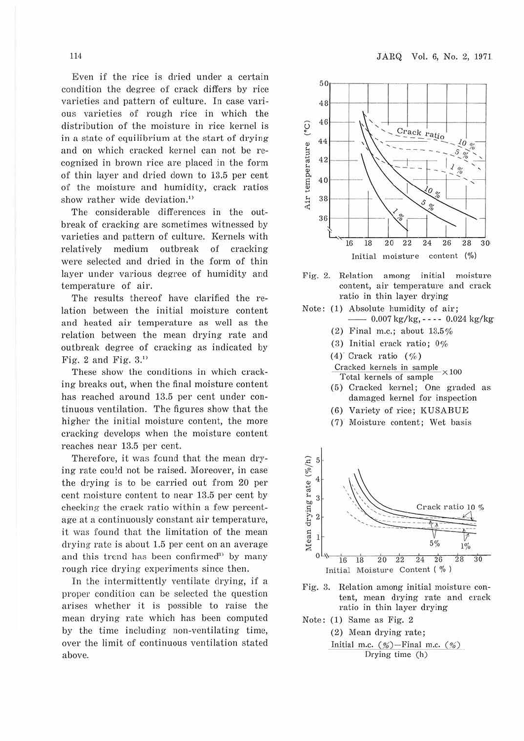Even if the rice is dried under a certain condition the degree of crack differs by rice varieties and pattern of culture. In case various varieties of rough rice in which the distribution of the moisture in rice kernel is in a state of equilibrium at the start of drying and on which cracked kernel can not be recognized in brown rice are placed in the form of thin layer and dried down to 13.5 per cent of the moisture and humidity, crack ratios show rather wide deviation.<sup>1)</sup>

The considerable differences in the outbreak of cracking are sometimes witnessed by varieties and pattern of culture. Kernels with relatively medium outbreak of cracking were selected and dried in the form of thin layer under various degree of humidity and temperature of air.

The results thereof have clarified the relation between the initial moisture content and heated air temperature as well as the relation between the mean drying rate and outbreak degree of cracking as indicated by Fig. 2 and Fig.  $3.$ <sup>11</sup>

These show the conditions in which cracking breaks out, when the final moisture content has reached around 13.5 per cent under continuous ventilation. The figures show that the higher the initial moisture content, the more cracking develops when the moisture content reaches near 13.5 per cent.

Therefore, it was found that the mean drying rate cou!d not be raised. Moreover, in case the drying is to be carried out from 20 per cent moisture content to near 13.5 per cent by checking the crack ratio within a few percentage at a continuously constant air temperature, it was found that the limitation of the mean drying rate is about 1.5 per cent on an average and this trend has been confirmed<sup>3</sup> by many rough rice drying experiments since then.

In the intermittently ventilate drying, if a proper condition can be selected the question arises whether it is possible to raise the mean drying rate which has been computed by the time including non-ventilating time, over the limit of continuous ventilation stated above.



Fig. 2. Relation among initial moisture content, air temperature and crack ratio in thin layer drying

- Note: (1) Absolute humidity of air;
	- -- 0.007 kg/kg, - - 0.024 kg/ kg
	- (2) Final m.c.; about 13.5%
	- (3) Initial crack ratio; 0%
	- $(4)$  Crack ratio  $( %)$
	- Cracked kernels in sample  $\times100$ Total kernels of sample
	- (5) Cracked kernel; One graded as damaged kernel for inspection
	- (6) Vaxiety of rice; KUSABUE
	- (7) Moisture content; Wet basis



- Fig. 3. Relation among initial moisture content, mean drying rate and cracl< ratio in thin layer drying
- Note: (1) Same as Fig. 2

(2) Mean drying rate; Initial m.c.  $(\%)$ -Final m.c.  $(\%)$ Drying time (h)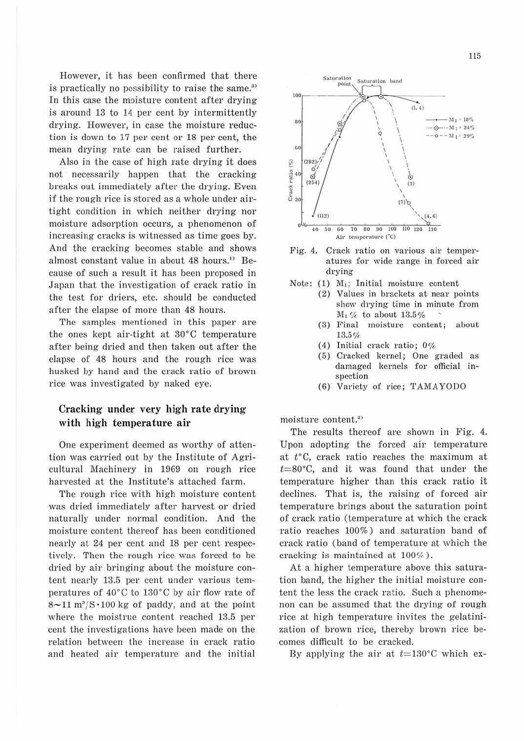However, it has been confirmed that there is practically no possibility to raise the same.<sup>3)</sup> In this case the moisture content after drying is around 13 to 14 per cent by intermittently drying. However, in case the moisture reduction is down to 17 per cent or 18 per cent, the mean drying rate can be raised further.

Also in the case of high rate drying it does not necessarily happen that the cracking breaks out immediately after the drying. Even if the rough rice is stored as a whole under airtight condition in which neither drying nor moisture adsorption occurs, a phenomenon of increasing cracks is witnessed as time goes by. And the cracking becomes stable and shows almost constant value in about 48 hours. '' Because of such a result it has been proposed in Japan that the investigation of crack ratio in the test for driers, etc. should be conducted after the elapse of more than 48 hours.

The samples mentioned in this paper are the ones kept air-tight at 30°C temperature after being dried and then taken out after the elapse of 48 hours and the rough rice was husked by hand and the crack ratio of brown rice was investigated by naked eye.

### **Cracking under very high rate drying** with high temperature air

One experiment deemed as worthy of attention was carried out by the Institute of Agricultural Machinery in 1969 on rough rice harvested at the Institute's attached farm.

The rough rice with high moisture content was dried immediately after harvest or dried naturally under normal condition. And the moisture content thereof has been conditioned nearly at 24 per cent and 18 per cent respectively. Then the rough rice was forced to be dried by air bringing about the moisture content nearly 13.5 per cent under various temperatures of 40°C to 130°C by air flow rate of  $8\sim11~\mathrm{m}^3/\mathrm{S}\cdot100~\mathrm{kg}$  of paddy, and at the point where the moistrue content reached 13.5 per cent the investigations have been made on the relation between the increase in crack ratio and heated air temperature and the initial



- Fig. 4. Crack ratio on various air temperatures for wide range in forced air drying
- Note: (1) M,; Initial moisture content
	- (2) Values in brackets at near points show drying time in minute from  $M_1$  % to about 13.5%<br>(3) Final moisture con
	- moisture content; about 13.5'/,
	- (4) Initial crack ratio; 0%
	- (5) Cracked kernel; One graded as damaged kernels for official inspection
	- (6) Variety of rice; TAMAYODO

moisture content. 2 >

The results thereof are shown in Fig. 4. Upon adopting the forced air temperature at t°C, crack ratio reaches the maximum at  $t=80^{\circ}$ C, and it was found that under the temperature higher than this crack ratio it declines. That is, the raising of forced air temperature brings about the saturation point of crack ratio (temperature at which the crack ratio reaches 100%) and saturation band of crack ratio (band of temperature at which the cracking is maintained at  $100\%$ ).

At a higher temperature above this saturation band, the higher the initial moisture content the less the crack ratio. Such a phenomenon can be assumed that the drying of rough rice at high temperature invites the gelatinization of brown rice, thereby brown rice becomes difficult to be cracked.

By applying the air at  $t=130^{\circ}$ C which ex-